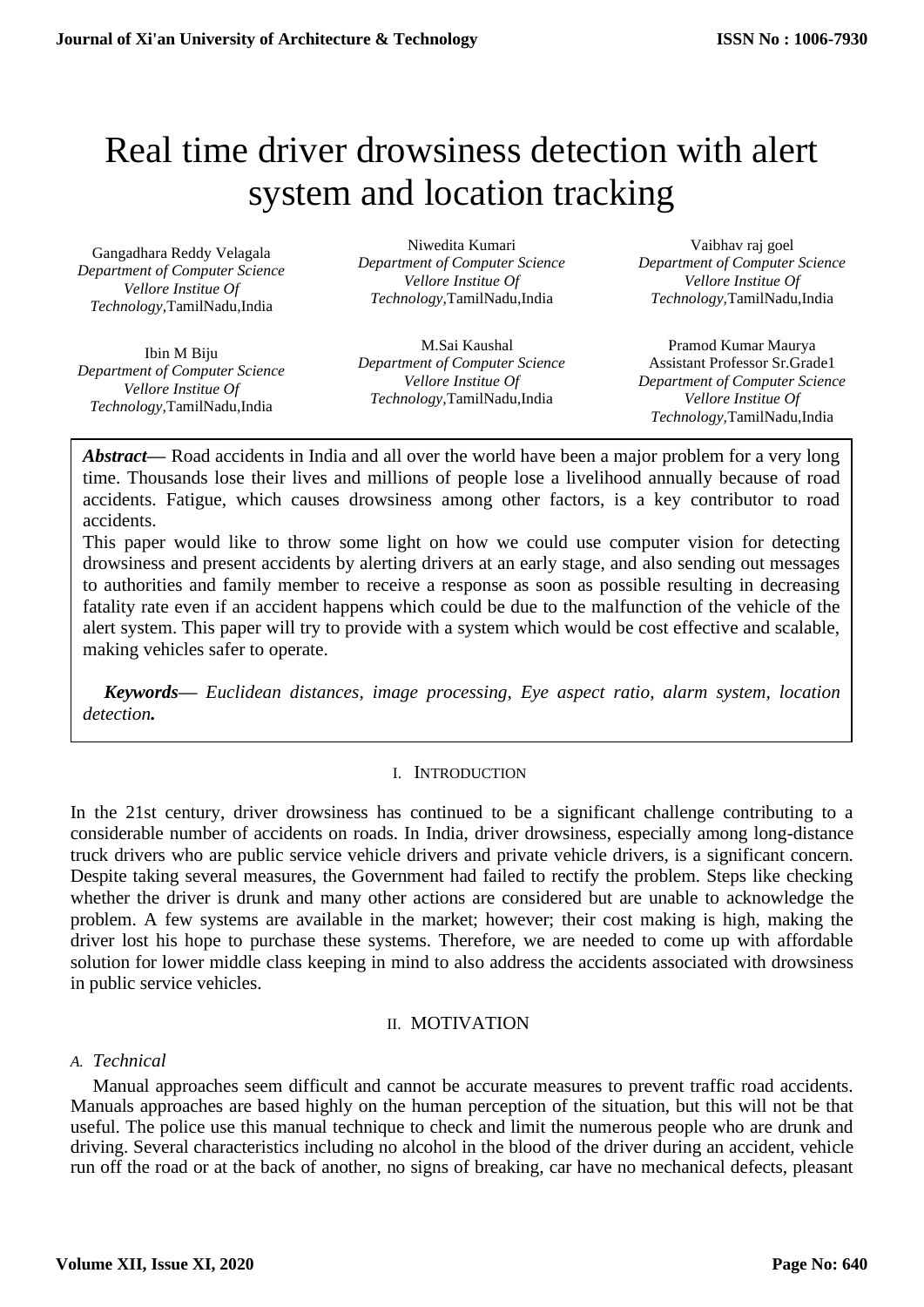# Real time driver drowsiness detection with alert system and location tracking

Gangadhara Reddy Velagala *Department of Computer Science Vellore Institue Of Technology,*TamilNadu,India

Ibin M Biju *Department of Computer Science Vellore Institue Of Technology,*TamilNadu,India

Niwedita Kumari *Department of Computer Science Vellore Institue Of Technology,*TamilNadu,India

M.Sai Kaushal *Department of Computer Science Vellore Institue Of Technology,*TamilNadu,India

Vaibhav raj goel *Department of Computer Science Vellore Institue Of Technology,*TamilNadu,India

Pramod Kumar Maurya Assistant Professor Sr.Grade1 *Department of Computer Science Vellore Institue Of Technology,*TamilNadu,India

*Abstract***—** Road accidents in India and all over the world have been a major problem for a very long time. Thousands lose their lives and millions of people lose a livelihood annually because of road accidents. Fatigue, which causes drowsiness among other factors, is a key contributor to road accidents.

This paper would like to throw some light on how we could use computer vision for detecting drowsiness and present accidents by alerting drivers at an early stage, and also sending out messages to authorities and family member to receive a response as soon as possible resulting in decreasing fatality rate even if an accident happens which could be due to the malfunction of the vehicle of the alert system. This paper will try to provide with a system which would be cost effective and scalable, making vehicles safer to operate.

*Keywords— Euclidean distances, image processing, Eye aspect ratio, alarm system, location detection.*

# I. INTRODUCTION

In the 21st century, driver drowsiness has continued to be a significant challenge contributing to a considerable number of accidents on roads. In India, driver drowsiness, especially among long-distance truck drivers who are public service vehicle drivers and private vehicle drivers, is a significant concern. Despite taking several measures, the Government had failed to rectify the problem. Steps like checking whether the driver is drunk and many other actions are considered but are unable to acknowledge the problem. A few systems are available in the market; however; their cost making is high, making the driver lost his hope to purchase these systems. Therefore, we are needed to come up with affordable solution for lower middle class keeping in mind to also address the accidents associated with drowsiness in public service vehicles.

#### II. MOTIVATION

*A. Technical*

Manual approaches seem difficult and cannot be accurate measures to prevent traffic road accidents. Manuals approaches are based highly on the human perception of the situation, but this will not be that useful. The police use this manual technique to check and limit the numerous people who are drunk and driving. Several characteristics including no alcohol in the blood of the driver during an accident, vehicle run off the road or at the back of another, no signs of breaking, car have no mechanical defects, pleasant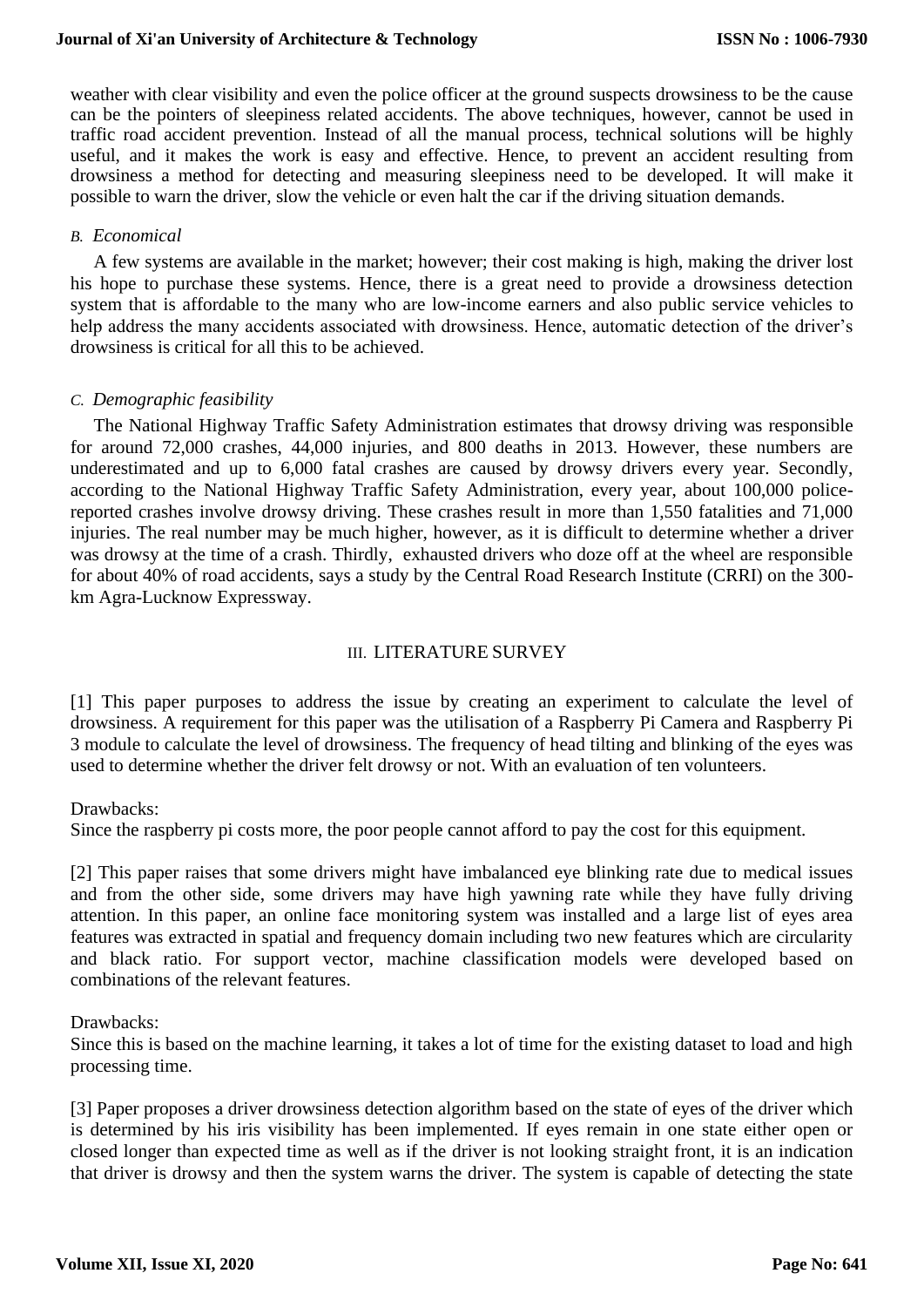#### **Journal of Xi'an University of Architecture & Technology**

weather with clear visibility and even the police officer at the ground suspects drowsiness to be the cause can be the pointers of sleepiness related accidents. The above techniques, however, cannot be used in traffic road accident prevention. Instead of all the manual process, technical solutions will be highly useful, and it makes the work is easy and effective. Hence, to prevent an accident resulting from drowsiness a method for detecting and measuring sleepiness need to be developed. It will make it possible to warn the driver, slow the vehicle or even halt the car if the driving situation demands.

#### *B. Economical*

 A few systems are available in the market; however; their cost making is high, making the driver lost his hope to purchase these systems. Hence, there is a great need to provide a drowsiness detection system that is affordable to the many who are low-income earners and also public service vehicles to help address the many accidents associated with drowsiness. Hence, automatic detection of the driver's drowsiness is critical for all this to be achieved.

#### *C. Demographic feasibility*

 The National Highway Traffic Safety Administration estimates that drowsy driving was responsible for around 72,000 crashes, 44,000 injuries, and 800 deaths in 2013. However, these numbers are underestimated and up to 6,000 fatal crashes are caused by drowsy drivers every year. Secondly, according to the National Highway Traffic Safety Administration, every year, about 100,000 policereported crashes involve drowsy driving. These crashes result in more than 1,550 fatalities and 71,000 injuries. The real number may be much higher, however, as it is difficult to determine whether a driver was drowsy at the time of a crash. Thirdly, exhausted drivers who doze off at the wheel are responsible for about 40% of road accidents, says a study by the Central Road Research Institute (CRRI) on the 300 km Agra-Lucknow Expressway.

#### III. LITERATURE SURVEY

[1] This paper purposes to address the issue by creating an experiment to calculate the level of drowsiness. A requirement for this paper was the utilisation of a Raspberry Pi Camera and Raspberry Pi 3 module to calculate the level of drowsiness. The frequency of head tilting and blinking of the eyes was used to determine whether the driver felt drowsy or not. With an evaluation of ten volunteers.

#### Drawbacks:

Since the raspberry pi costs more, the poor people cannot afford to pay the cost for this equipment.

[2] This paper raises that some drivers might have imbalanced eye blinking rate due to medical issues and from the other side, some drivers may have high yawning rate while they have fully driving attention. In this paper, an online face monitoring system was installed and a large list of eyes area features was extracted in spatial and frequency domain including two new features which are circularity and black ratio. For support vector, machine classification models were developed based on combinations of the relevant features.

#### Drawbacks:

Since this is based on the machine learning, it takes a lot of time for the existing dataset to load and high processing time.

[3] Paper proposes a driver drowsiness detection algorithm based on the state of eyes of the driver which is determined by his iris visibility has been implemented. If eyes remain in one state either open or closed longer than expected time as well as if the driver is not looking straight front, it is an indication that driver is drowsy and then the system warns the driver. The system is capable of detecting the state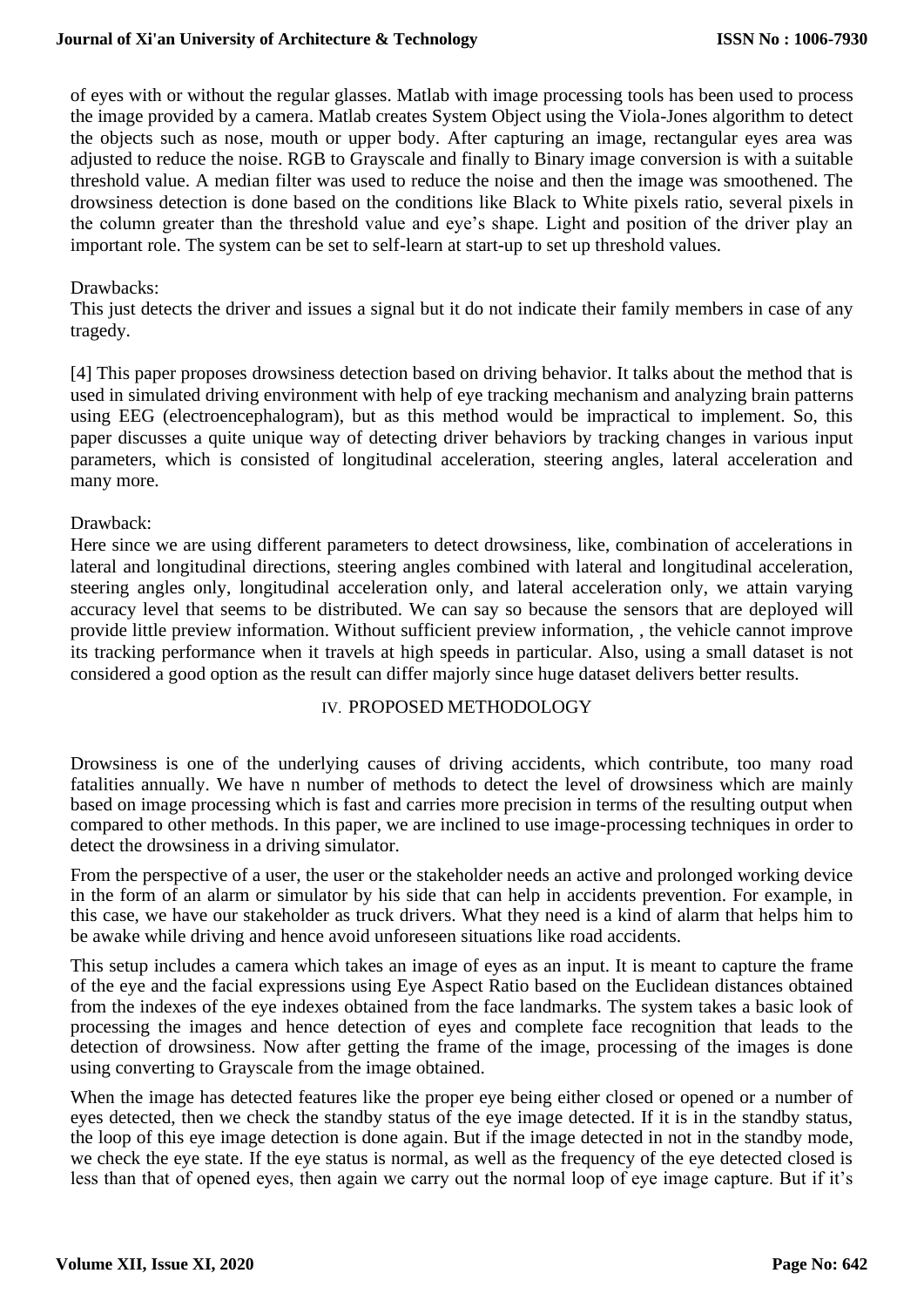#### **Journal of Xi'an University of Architecture & Technology**

of eyes with or without the regular glasses. Matlab with image processing tools has been used to process the image provided by a camera. Matlab creates System Object using the Viola-Jones algorithm to detect the objects such as nose, mouth or upper body. After capturing an image, rectangular eyes area was adjusted to reduce the noise. RGB to Grayscale and finally to Binary image conversion is with a suitable threshold value. A median filter was used to reduce the noise and then the image was smoothened. The drowsiness detection is done based on the conditions like Black to White pixels ratio, several pixels in the column greater than the threshold value and eye's shape. Light and position of the driver play an important role. The system can be set to self-learn at start-up to set up threshold values.

# Drawbacks:

This just detects the driver and issues a signal but it do not indicate their family members in case of any tragedy.

[4] This paper proposes drowsiness detection based on driving behavior. It talks about the method that is used in simulated driving environment with help of eye tracking mechanism and analyzing brain patterns using EEG (electroencephalogram), but as this method would be impractical to implement. So, this paper discusses a quite unique way of detecting driver behaviors by tracking changes in various input parameters, which is consisted of longitudinal acceleration, steering angles, lateral acceleration and many more.

#### Drawback:

Here since we are using different parameters to detect drowsiness, like, combination of accelerations in lateral and longitudinal directions, steering angles combined with lateral and longitudinal acceleration, steering angles only, longitudinal acceleration only, and lateral acceleration only, we attain varying accuracy level that seems to be distributed. We can say so because the sensors that are deployed will provide little preview information. Without sufficient preview information, , the vehicle cannot improve its tracking performance when it travels at high speeds in particular. Also, using a small dataset is not considered a good option as the result can differ majorly since huge dataset delivers better results.

### IV. PROPOSED METHODOLOGY

Drowsiness is one of the underlying causes of driving accidents, which contribute, too many road fatalities annually. We have n number of methods to detect the level of drowsiness which are mainly based on image processing which is fast and carries more precision in terms of the resulting output when compared to other methods. In this paper, we are inclined to use image-processing techniques in order to detect the drowsiness in a driving simulator.

From the perspective of a user, the user or the stakeholder needs an active and prolonged working device in the form of an alarm or simulator by his side that can help in accidents prevention. For example, in this case, we have our stakeholder as truck drivers. What they need is a kind of alarm that helps him to be awake while driving and hence avoid unforeseen situations like road accidents.

This setup includes a camera which takes an image of eyes as an input. It is meant to capture the frame of the eye and the facial expressions using Eye Aspect Ratio based on the Euclidean distances obtained from the indexes of the eye indexes obtained from the face landmarks. The system takes a basic look of processing the images and hence detection of eyes and complete face recognition that leads to the detection of drowsiness. Now after getting the frame of the image, processing of the images is done using converting to Grayscale from the image obtained.

When the image has detected features like the proper eye being either closed or opened or a number of eyes detected, then we check the standby status of the eye image detected. If it is in the standby status, the loop of this eye image detection is done again. But if the image detected in not in the standby mode, we check the eye state. If the eye status is normal, as well as the frequency of the eye detected closed is less than that of opened eyes, then again we carry out the normal loop of eye image capture. But if it's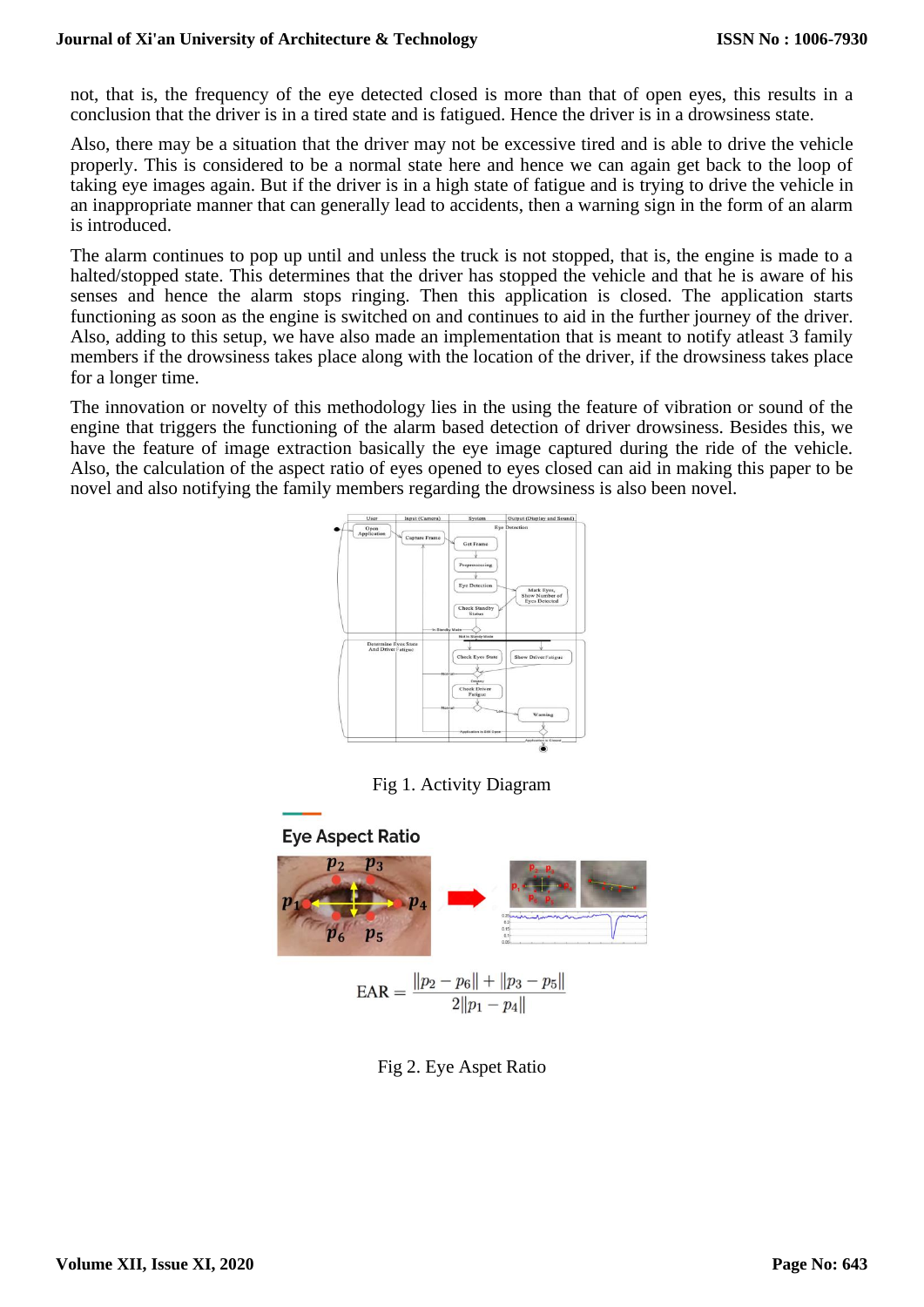not, that is, the frequency of the eye detected closed is more than that of open eyes, this results in a conclusion that the driver is in a tired state and is fatigued. Hence the driver is in a drowsiness state.

Also, there may be a situation that the driver may not be excessive tired and is able to drive the vehicle properly. This is considered to be a normal state here and hence we can again get back to the loop of taking eye images again. But if the driver is in a high state of fatigue and is trying to drive the vehicle in an inappropriate manner that can generally lead to accidents, then a warning sign in the form of an alarm is introduced.

The alarm continues to pop up until and unless the truck is not stopped, that is, the engine is made to a halted/stopped state. This determines that the driver has stopped the vehicle and that he is aware of his senses and hence the alarm stops ringing. Then this application is closed. The application starts functioning as soon as the engine is switched on and continues to aid in the further journey of the driver. Also, adding to this setup, we have also made an implementation that is meant to notify atleast 3 family members if the drowsiness takes place along with the location of the driver, if the drowsiness takes place for a longer time.

The innovation or novelty of this methodology lies in the using the feature of vibration or sound of the engine that triggers the functioning of the alarm based detection of driver drowsiness. Besides this, we have the feature of image extraction basically the eye image captured during the ride of the vehicle. Also, the calculation of the aspect ratio of eyes opened to eyes closed can aid in making this paper to be novel and also notifying the family members regarding the drowsiness is also been novel.



Fig 1. Activity Diagram

# **Eye Aspect Ratio**



Fig 2. Eye Aspet Ratio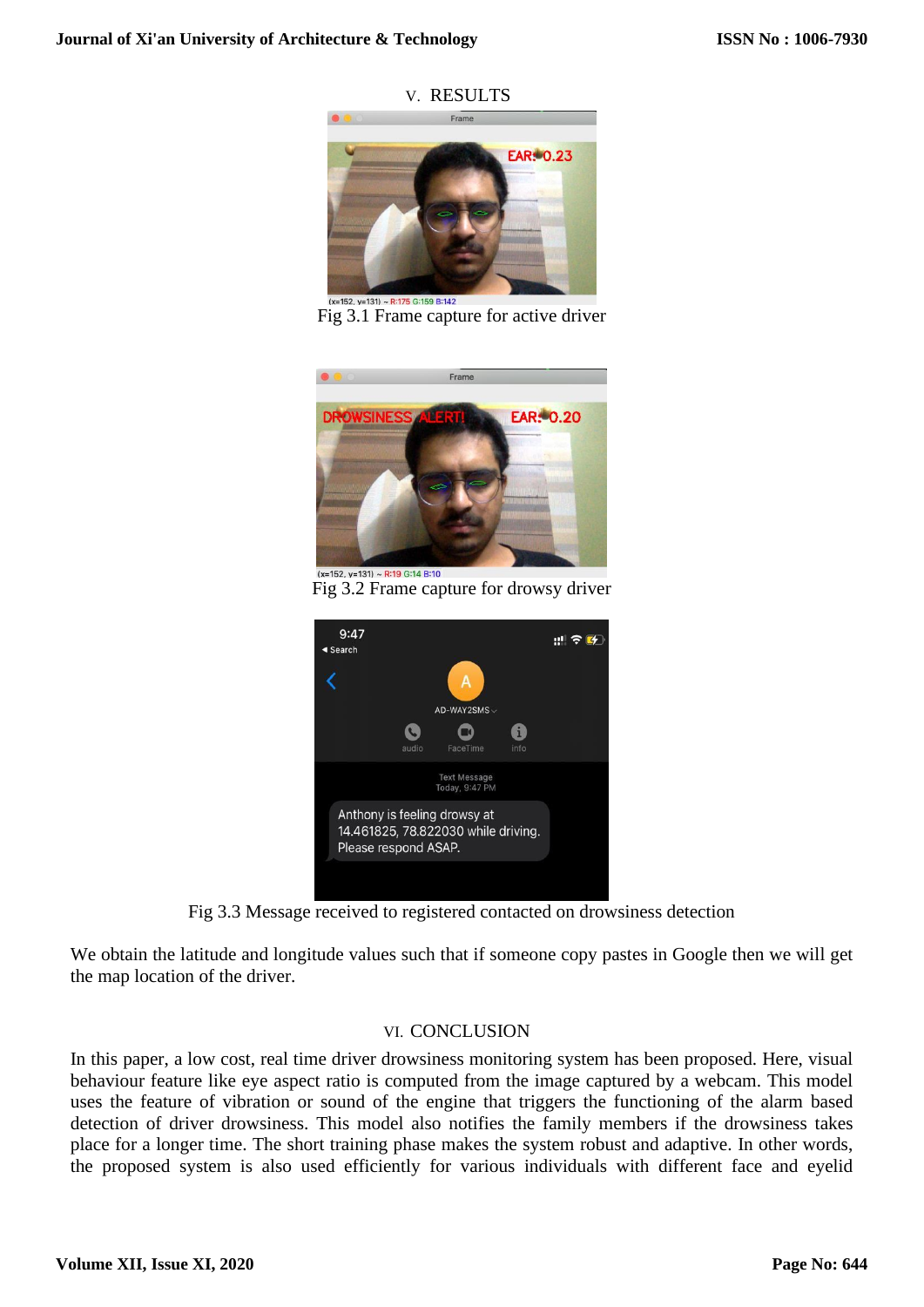V. RESULTS



Fig 3.1 Frame capture for active driver



Fig 3.2 Frame capture for drowsy driver



Fig 3.3 Message received to registered contacted on drowsiness detection

We obtain the latitude and longitude values such that if someone copy pastes in Google then we will get the map location of the driver.

# VI. CONCLUSION

In this paper, a low cost, real time driver drowsiness monitoring system has been proposed. Here, visual behaviour feature like eye aspect ratio is computed from the image captured by a webcam. This model uses the feature of vibration or sound of the engine that triggers the functioning of the alarm based detection of driver drowsiness. This model also notifies the family members if the drowsiness takes place for a longer time. The short training phase makes the system robust and adaptive. In other words, the proposed system is also used efficiently for various individuals with different face and eyelid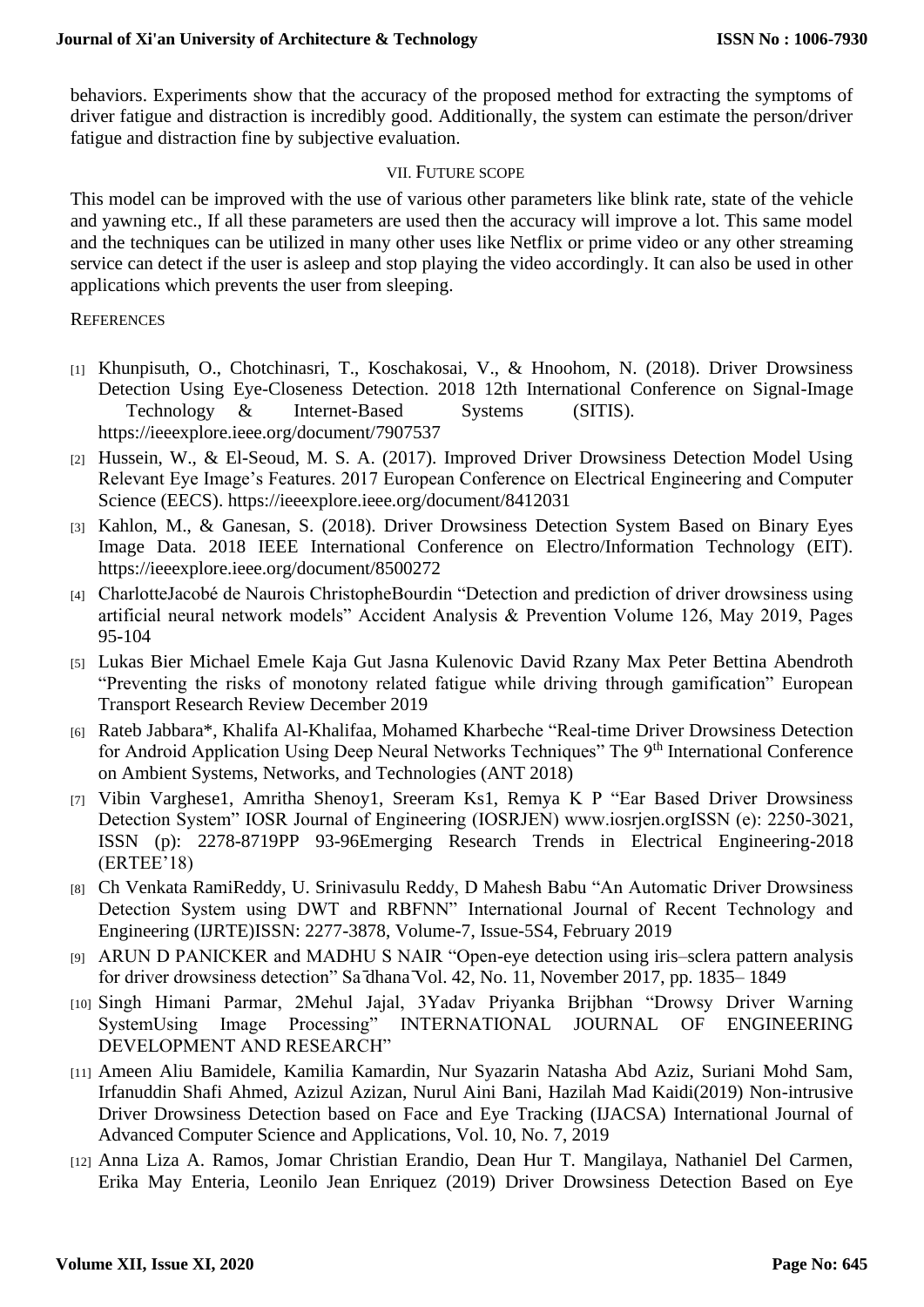behaviors. Experiments show that the accuracy of the proposed method for extracting the symptoms of driver fatigue and distraction is incredibly good. Additionally, the system can estimate the person/driver fatigue and distraction fine by subjective evaluation.

#### VII. FUTURE SCOPE

This model can be improved with the use of various other parameters like blink rate, state of the vehicle and yawning etc., If all these parameters are used then the accuracy will improve a lot. This same model and the techniques can be utilized in many other uses like Netflix or prime video or any other streaming service can detect if the user is asleep and stop playing the video accordingly. It can also be used in other applications which prevents the user from sleeping.

#### **REFERENCES**

- [1] Khunpisuth, O., Chotchinasri, T., Koschakosai, V., & Hnoohom, N. (2018). Driver Drowsiness Detection Using Eye-Closeness Detection. 2018 12th International Conference on Signal-Image Technology & Internet-Based Systems (SITIS). https://ieeexplore.ieee.org/document/7907537
- [2] Hussein, W., & El-Seoud, M. S. A. (2017). Improved Driver Drowsiness Detection Model Using Relevant Eye Image's Features. 2017 European Conference on Electrical Engineering and Computer Science (EECS). https://ieeexplore.ieee.org/document/8412031
- [3] Kahlon, M., & Ganesan, S. (2018). Driver Drowsiness Detection System Based on Binary Eyes Image Data. 2018 IEEE International Conference on Electro/Information Technology (EIT). https://ieeexplore.ieee.org/document/8500272
- [4] CharlotteJacobé de Naurois ChristopheBourdin "Detection and prediction of driver drowsiness using artificial neural network models" Accident Analysis & Prevention Volume 126, May 2019, Pages 95-104
- [5] Lukas Bier Michael Emele Kaja Gut Jasna Kulenovic David Rzany Max Peter Bettina Abendroth "Preventing the risks of monotony related fatigue while driving through gamification" European Transport Research Review December 2019
- [6] Rateb Jabbara\*, Khalifa Al-Khalifaa, Mohamed Kharbeche "Real-time Driver Drowsiness Detection for Android Application Using Deep Neural Networks Techniques" The 9<sup>th</sup> International Conference on Ambient Systems, Networks, and Technologies (ANT 2018)
- [7] Vibin Varghese1, Amritha Shenoy1, Sreeram Ks1, Remya K P "Ear Based Driver Drowsiness Detection System" IOSR Journal of Engineering (IOSRJEN) www.iosrjen.orgISSN (e): 2250-3021, ISSN (p): 2278-8719PP 93-96Emerging Research Trends in Electrical Engineering-2018 (ERTEE'18)
- [8] Ch Venkata RamiReddy, U. Srinivasulu Reddy, D Mahesh Babu "An Automatic Driver Drowsiness Detection System using DWT and RBFNN" International Journal of Recent Technology and Engineering (IJRTE)ISSN: 2277-3878, Volume-7, Issue-5S4, February 2019
- [9] ARUN D PANICKER and MADHU S NAIR "Open-eye detection using iris–sclera pattern analysis for driver drowsiness detection" Sa dhana Vol. 42, No. 11, November 2017, pp. 1835-1849
- [10] Singh Himani Parmar, 2Mehul Jajal, 3Yadav Priyanka Brijbhan "Drowsy Driver Warning SystemUsing Image Processing" INTERNATIONAL JOURNAL OF ENGINEERING DEVELOPMENT AND RESEARCH"
- [11] Ameen Aliu Bamidele, Kamilia Kamardin, Nur Syazarin Natasha Abd Aziz, Suriani Mohd Sam, Irfanuddin Shafi Ahmed, Azizul Azizan, Nurul Aini Bani, Hazilah Mad Kaidi(2019) Non-intrusive Driver Drowsiness Detection based on Face and Eye Tracking (IJACSA) International Journal of Advanced Computer Science and Applications, Vol. 10, No. 7, 2019
- [12] Anna Liza A. Ramos, Jomar Christian Erandio, Dean Hur T. Mangilaya, Nathaniel Del Carmen, Erika May Enteria, Leonilo Jean Enriquez (2019) Driver Drowsiness Detection Based on Eye